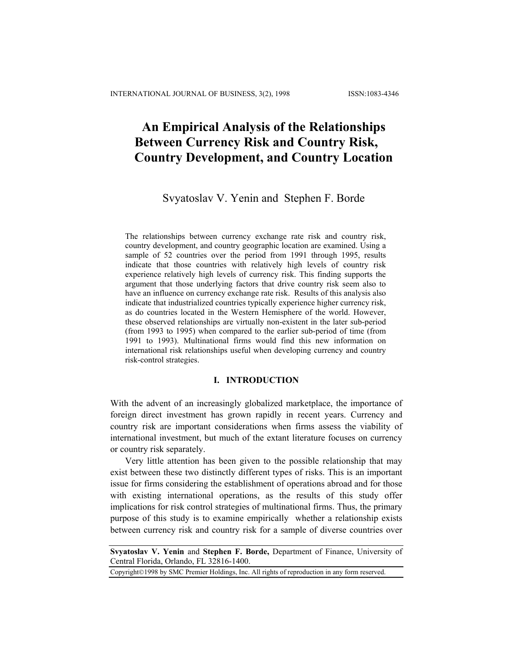# **An Empirical Analysis of the Relationships Between Currency Risk and Country Risk, Country Development, and Country Location**

# Svyatoslav V. Yenin and Stephen F. Borde

The relationships between currency exchange rate risk and country risk, country development, and country geographic location are examined. Using a sample of 52 countries over the period from 1991 through 1995, results indicate that those countries with relatively high levels of country risk experience relatively high levels of currency risk. This finding supports the argument that those underlying factors that drive country risk seem also to have an influence on currency exchange rate risk. Results of this analysis also indicate that industrialized countries typically experience higher currency risk, as do countries located in the Western Hemisphere of the world. However, these observed relationships are virtually non-existent in the later sub-period (from 1993 to 1995) when compared to the earlier sub-period of time (from 1991 to 1993). Multinational firms would find this new information on international risk relationships useful when developing currency and country risk-control strategies.

## **I. INTRODUCTION**

With the advent of an increasingly globalized marketplace, the importance of foreign direct investment has grown rapidly in recent years. Currency and country risk are important considerations when firms assess the viability of international investment, but much of the extant literature focuses on currency or country risk separately.

Very little attention has been given to the possible relationship that may exist between these two distinctly different types of risks. This is an important issue for firms considering the establishment of operations abroad and for those with existing international operations, as the results of this study offer implications for risk control strategies of multinational firms. Thus, the primary purpose of this study is to examine empirically whether a relationship exists between currency risk and country risk for a sample of diverse countries over

Copyright©1998 by SMC Premier Holdings, Inc. All rights of reproduction in any form reserved.

**Svyatoslav V. Yenin** and **Stephen F. Borde,** Department of Finance, University of Central Florida, Orlando, FL 32816-1400.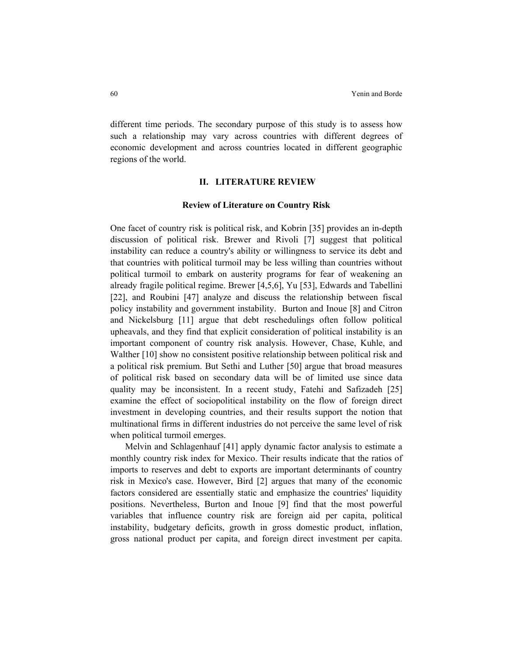different time periods. The secondary purpose of this study is to assess how such a relationship may vary across countries with different degrees of economic development and across countries located in different geographic regions of the world.

## **II. LITERATURE REVIEW**

#### **Review of Literature on Country Risk**

One facet of country risk is political risk, and Kobrin [35] provides an in-depth discussion of political risk. Brewer and Rivoli [7] suggest that political instability can reduce a country's ability or willingness to service its debt and that countries with political turmoil may be less willing than countries without political turmoil to embark on austerity programs for fear of weakening an already fragile political regime. Brewer [4,5,6], Yu [53], Edwards and Tabellini [22], and Roubini [47] analyze and discuss the relationship between fiscal policy instability and government instability. Burton and Inoue [8] and Citron and Nickelsburg [11] argue that debt reschedulings often follow political upheavals, and they find that explicit consideration of political instability is an important component of country risk analysis. However, Chase, Kuhle, and Walther [10] show no consistent positive relationship between political risk and a political risk premium. But Sethi and Luther [50] argue that broad measures of political risk based on secondary data will be of limited use since data quality may be inconsistent. In a recent study, Fatehi and Safizadeh [25] examine the effect of sociopolitical instability on the flow of foreign direct investment in developing countries, and their results support the notion that multinational firms in different industries do not perceive the same level of risk when political turmoil emerges.

 Melvin and Schlagenhauf [41] apply dynamic factor analysis to estimate a monthly country risk index for Mexico. Their results indicate that the ratios of imports to reserves and debt to exports are important determinants of country risk in Mexico's case. However, Bird [2] argues that many of the economic factors considered are essentially static and emphasize the countries' liquidity positions. Nevertheless, Burton and Inoue [9] find that the most powerful variables that influence country risk are foreign aid per capita, political instability, budgetary deficits, growth in gross domestic product, inflation, gross national product per capita, and foreign direct investment per capita.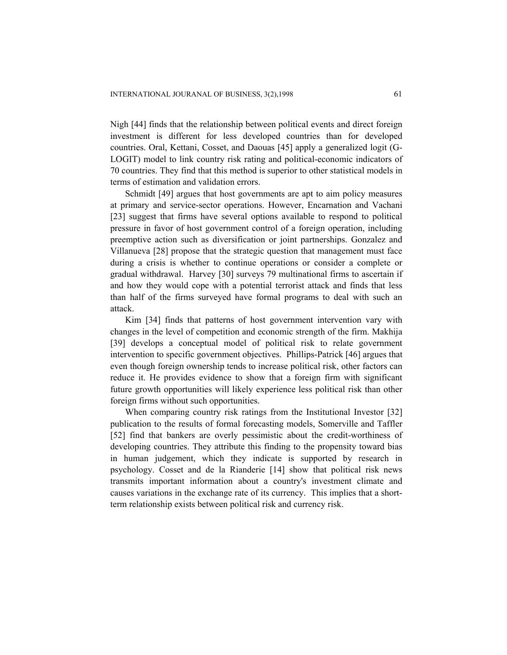Nigh [44] finds that the relationship between political events and direct foreign investment is different for less developed countries than for developed countries. Oral, Kettani, Cosset, and Daouas [45] apply a generalized logit (G-LOGIT) model to link country risk rating and political-economic indicators of 70 countries. They find that this method is superior to other statistical models in terms of estimation and validation errors.

 Schmidt [49] argues that host governments are apt to aim policy measures at primary and service-sector operations. However, Encarnation and Vachani [23] suggest that firms have several options available to respond to political pressure in favor of host government control of a foreign operation, including preemptive action such as diversification or joint partnerships. Gonzalez and Villanueva [28] propose that the strategic question that management must face during a crisis is whether to continue operations or consider a complete or gradual withdrawal. Harvey [30] surveys 79 multinational firms to ascertain if and how they would cope with a potential terrorist attack and finds that less than half of the firms surveyed have formal programs to deal with such an attack.

 Kim [34] finds that patterns of host government intervention vary with changes in the level of competition and economic strength of the firm. Makhija [39] develops a conceptual model of political risk to relate government intervention to specific government objectives. Phillips-Patrick [46] argues that even though foreign ownership tends to increase political risk, other factors can reduce it. He provides evidence to show that a foreign firm with significant future growth opportunities will likely experience less political risk than other foreign firms without such opportunities.

When comparing country risk ratings from the Institutional Investor [32] publication to the results of formal forecasting models, Somerville and Taffler [52] find that bankers are overly pessimistic about the credit-worthiness of developing countries. They attribute this finding to the propensity toward bias in human judgement, which they indicate is supported by research in psychology. Cosset and de la Rianderie [14] show that political risk news transmits important information about a country's investment climate and causes variations in the exchange rate of its currency. This implies that a shortterm relationship exists between political risk and currency risk.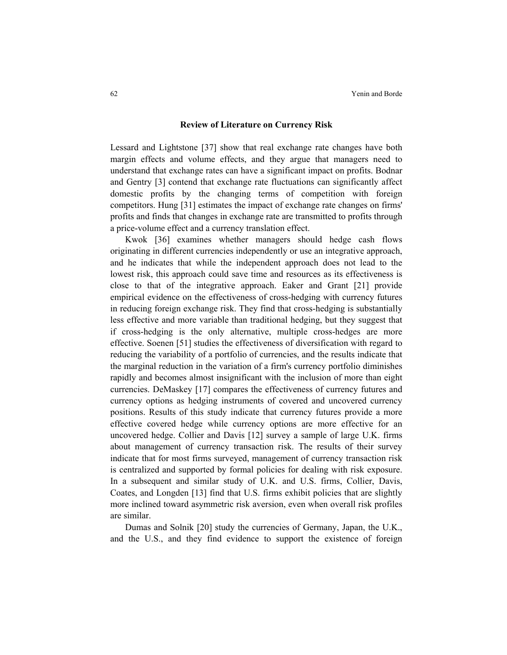#### **Review of Literature on Currency Risk**

Lessard and Lightstone [37] show that real exchange rate changes have both margin effects and volume effects, and they argue that managers need to understand that exchange rates can have a significant impact on profits. Bodnar and Gentry [3] contend that exchange rate fluctuations can significantly affect domestic profits by the changing terms of competition with foreign competitors. Hung [31] estimates the impact of exchange rate changes on firms' profits and finds that changes in exchange rate are transmitted to profits through a price-volume effect and a currency translation effect.

 Kwok [36] examines whether managers should hedge cash flows originating in different currencies independently or use an integrative approach, and he indicates that while the independent approach does not lead to the lowest risk, this approach could save time and resources as its effectiveness is close to that of the integrative approach. Eaker and Grant [21] provide empirical evidence on the effectiveness of cross-hedging with currency futures in reducing foreign exchange risk. They find that cross-hedging is substantially less effective and more variable than traditional hedging, but they suggest that if cross-hedging is the only alternative, multiple cross-hedges are more effective. Soenen [51] studies the effectiveness of diversification with regard to reducing the variability of a portfolio of currencies, and the results indicate that the marginal reduction in the variation of a firm's currency portfolio diminishes rapidly and becomes almost insignificant with the inclusion of more than eight currencies. DeMaskey [17] compares the effectiveness of currency futures and currency options as hedging instruments of covered and uncovered currency positions. Results of this study indicate that currency futures provide a more effective covered hedge while currency options are more effective for an uncovered hedge. Collier and Davis [12] survey a sample of large U.K. firms about management of currency transaction risk. The results of their survey indicate that for most firms surveyed, management of currency transaction risk is centralized and supported by formal policies for dealing with risk exposure. In a subsequent and similar study of U.K. and U.S. firms, Collier, Davis, Coates, and Longden [13] find that U.S. firms exhibit policies that are slightly more inclined toward asymmetric risk aversion, even when overall risk profiles are similar.

 Dumas and Solnik [20] study the currencies of Germany, Japan, the U.K., and the U.S., and they find evidence to support the existence of foreign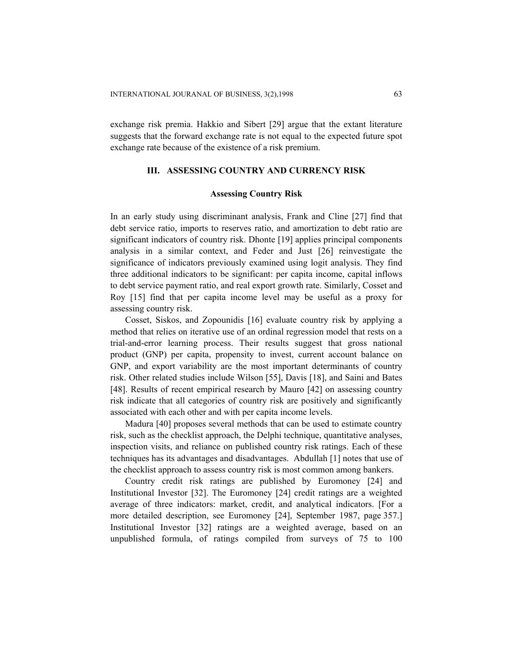exchange risk premia. Hakkio and Sibert [29] argue that the extant literature suggests that the forward exchange rate is not equal to the expected future spot exchange rate because of the existence of a risk premium.

# **III. ASSESSING COUNTRY AND CURRENCY RISK**

#### **Assessing Country Risk**

In an early study using discriminant analysis, Frank and Cline [27] find that debt service ratio, imports to reserves ratio, and amortization to debt ratio are significant indicators of country risk. Dhonte [19] applies principal components analysis in a similar context, and Feder and Just [26] reinvestigate the significance of indicators previously examined using logit analysis. They find three additional indicators to be significant: per capita income, capital inflows to debt service payment ratio, and real export growth rate. Similarly, Cosset and Roy [15] find that per capita income level may be useful as a proxy for assessing country risk.

 Cosset, Siskos, and Zopounidis [16] evaluate country risk by applying a method that relies on iterative use of an ordinal regression model that rests on a trial-and-error learning process. Their results suggest that gross national product (GNP) per capita, propensity to invest, current account balance on GNP, and export variability are the most important determinants of country risk. Other related studies include Wilson [55], Davis [18], and Saini and Bates [48]. Results of recent empirical research by Mauro [42] on assessing country risk indicate that all categories of country risk are positively and significantly associated with each other and with per capita income levels.

 Madura [40] proposes several methods that can be used to estimate country risk, such as the checklist approach, the Delphi technique, quantitative analyses, inspection visits, and reliance on published country risk ratings. Each of these techniques has its advantages and disadvantages. Abdullah [1] notes that use of the checklist approach to assess country risk is most common among bankers.

 Country credit risk ratings are published by Euromoney [24] and Institutional Investor [32]. The Euromoney [24] credit ratings are a weighted average of three indicators: market, credit, and analytical indicators. [For a more detailed description, see Euromoney [24], September 1987, page 357.] Institutional Investor [32] ratings are a weighted average, based on an unpublished formula, of ratings compiled from surveys of 75 to 100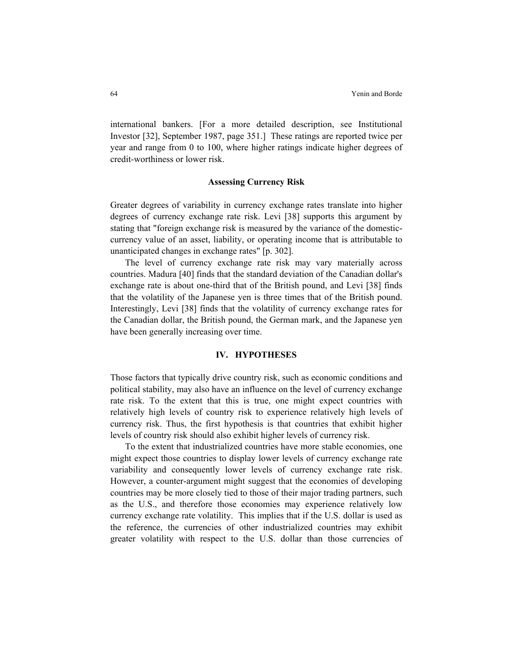international bankers. [For a more detailed description, see Institutional Investor [32], September 1987, page 351.] These ratings are reported twice per year and range from 0 to 100, where higher ratings indicate higher degrees of credit-worthiness or lower risk.

#### **Assessing Currency Risk**

Greater degrees of variability in currency exchange rates translate into higher degrees of currency exchange rate risk. Levi [38] supports this argument by stating that "foreign exchange risk is measured by the variance of the domesticcurrency value of an asset, liability, or operating income that is attributable to unanticipated changes in exchange rates" [p. 302].

The level of currency exchange rate risk may vary materially across countries. Madura [40] finds that the standard deviation of the Canadian dollar's exchange rate is about one-third that of the British pound, and Levi [38] finds that the volatility of the Japanese yen is three times that of the British pound. Interestingly, Levi [38] finds that the volatility of currency exchange rates for the Canadian dollar, the British pound, the German mark, and the Japanese yen have been generally increasing over time.

# **IV. HYPOTHESES**

Those factors that typically drive country risk, such as economic conditions and political stability, may also have an influence on the level of currency exchange rate risk. To the extent that this is true, one might expect countries with relatively high levels of country risk to experience relatively high levels of currency risk. Thus, the first hypothesis is that countries that exhibit higher levels of country risk should also exhibit higher levels of currency risk.

 To the extent that industrialized countries have more stable economies, one might expect those countries to display lower levels of currency exchange rate variability and consequently lower levels of currency exchange rate risk. However, a counter-argument might suggest that the economies of developing countries may be more closely tied to those of their major trading partners, such as the U.S., and therefore those economies may experience relatively low currency exchange rate volatility. This implies that if the U.S. dollar is used as the reference, the currencies of other industrialized countries may exhibit greater volatility with respect to the U.S. dollar than those currencies of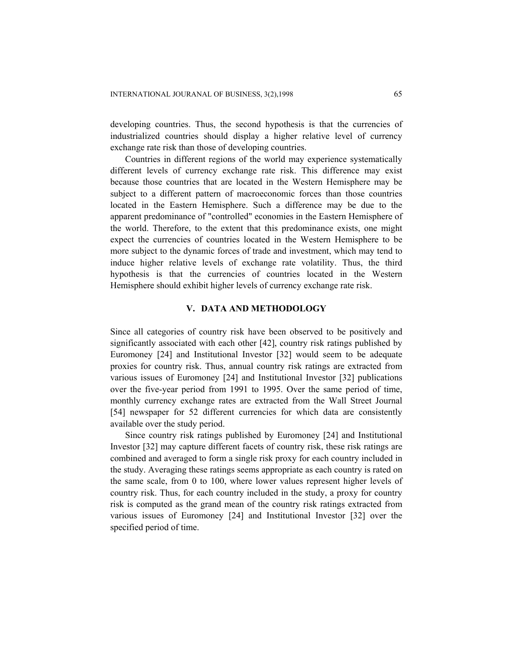developing countries. Thus, the second hypothesis is that the currencies of industrialized countries should display a higher relative level of currency exchange rate risk than those of developing countries.

 Countries in different regions of the world may experience systematically different levels of currency exchange rate risk. This difference may exist because those countries that are located in the Western Hemisphere may be subject to a different pattern of macroeconomic forces than those countries located in the Eastern Hemisphere. Such a difference may be due to the apparent predominance of "controlled" economies in the Eastern Hemisphere of the world. Therefore, to the extent that this predominance exists, one might expect the currencies of countries located in the Western Hemisphere to be more subject to the dynamic forces of trade and investment, which may tend to induce higher relative levels of exchange rate volatility. Thus, the third hypothesis is that the currencies of countries located in the Western Hemisphere should exhibit higher levels of currency exchange rate risk.

#### **V. DATA AND METHODOLOGY**

Since all categories of country risk have been observed to be positively and significantly associated with each other [42], country risk ratings published by Euromoney [24] and Institutional Investor [32] would seem to be adequate proxies for country risk. Thus, annual country risk ratings are extracted from various issues of Euromoney [24] and Institutional Investor [32] publications over the five-year period from 1991 to 1995. Over the same period of time, monthly currency exchange rates are extracted from the Wall Street Journal [54] newspaper for 52 different currencies for which data are consistently available over the study period.

 Since country risk ratings published by Euromoney [24] and Institutional Investor [32] may capture different facets of country risk, these risk ratings are combined and averaged to form a single risk proxy for each country included in the study. Averaging these ratings seems appropriate as each country is rated on the same scale, from 0 to 100, where lower values represent higher levels of country risk. Thus, for each country included in the study, a proxy for country risk is computed as the grand mean of the country risk ratings extracted from various issues of Euromoney [24] and Institutional Investor [32] over the specified period of time.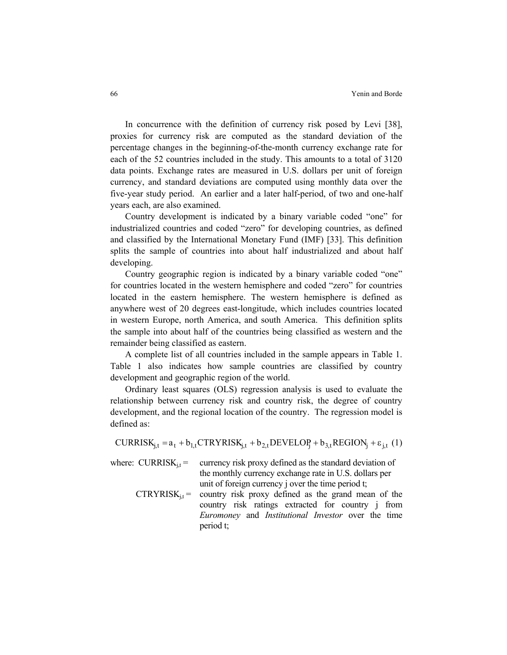In concurrence with the definition of currency risk posed by Levi [38], proxies for currency risk are computed as the standard deviation of the percentage changes in the beginning-of-the-month currency exchange rate for each of the 52 countries included in the study. This amounts to a total of 3120 data points. Exchange rates are measured in U.S. dollars per unit of foreign currency, and standard deviations are computed using monthly data over the five-year study period. An earlier and a later half-period, of two and one-half years each, are also examined.

Country development is indicated by a binary variable coded "one" for industrialized countries and coded "zero" for developing countries, as defined and classified by the International Monetary Fund (IMF) [33]. This definition splits the sample of countries into about half industrialized and about half developing.

Country geographic region is indicated by a binary variable coded "one" for countries located in the western hemisphere and coded "zero" for countries located in the eastern hemisphere. The western hemisphere is defined as anywhere west of 20 degrees east-longitude, which includes countries located in western Europe, north America, and south America. This definition splits the sample into about half of the countries being classified as western and the remainder being classified as eastern.

A complete list of all countries included in the sample appears in Table 1. Table 1 also indicates how sample countries are classified by country development and geographic region of the world.

Ordinary least squares (OLS) regression analysis is used to evaluate the relationship between currency risk and country risk, the degree of country development, and the regional location of the country. The regression model is defined as:

 $CURRISK_{i,t} = a_t + b_{1,t} CTRYRISK_{i,t} + b_{2,t} DEVELOP_i + b_{3,t} REGION_i + \varepsilon_{i,t}$  (1)

where:  $CURRISK_{it}$  = currency risk proxy defined as the standard deviation of the monthly currency exchange rate in U.S. dollars per unit of foreign currency j over the time period t;

 $CTRYRISK_{it}$  = country risk proxy defined as the grand mean of the country risk ratings extracted for country j from *Euromoney* and *Institutional Investor* over the time period t;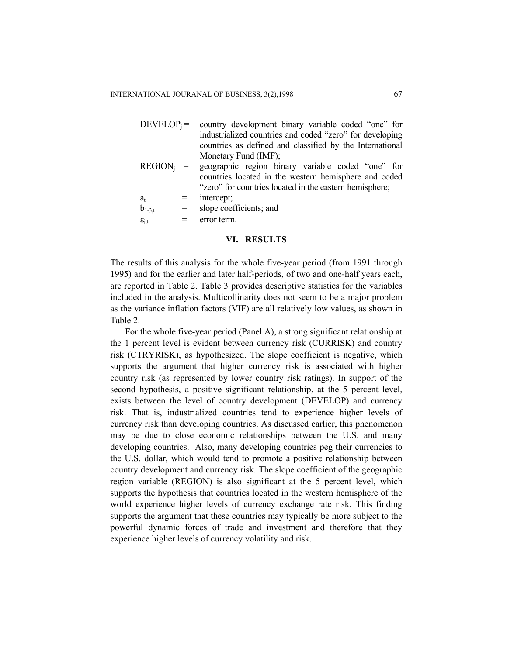| $DEVELOP_i =$ country development binary variable coded "one" for |
|-------------------------------------------------------------------|
| industrialized countries and coded "zero" for developing          |
| countries as defined and classified by the International          |
| Monetary Fund (IMF);                                              |
| $REGION_i$ = geographic region binary variable coded "one" for    |
| countries located in the western hemisphere and coded             |

untries located in the western hemisphere and coded "zero" for countries located in the eastern hemisphere;

 $a_t$  = intercept;  $b_{1-3t}$  = slope coefficients; and

 $\varepsilon_{\text{it}} = \text{error term.}$ 

#### **VI. RESULTS**

The results of this analysis for the whole five-year period (from 1991 through 1995) and for the earlier and later half-periods, of two and one-half years each, are reported in Table 2. Table 3 provides descriptive statistics for the variables included in the analysis. Multicollinarity does not seem to be a major problem as the variance inflation factors (VIF) are all relatively low values, as shown in Table 2.

 For the whole five-year period (Panel A), a strong significant relationship at the 1 percent level is evident between currency risk (CURRISK) and country risk (CTRYRISK), as hypothesized. The slope coefficient is negative, which supports the argument that higher currency risk is associated with higher country risk (as represented by lower country risk ratings). In support of the second hypothesis, a positive significant relationship, at the 5 percent level, exists between the level of country development (DEVELOP) and currency risk. That is, industrialized countries tend to experience higher levels of currency risk than developing countries. As discussed earlier, this phenomenon may be due to close economic relationships between the U.S. and many developing countries. Also, many developing countries peg their currencies to the U.S. dollar, which would tend to promote a positive relationship between country development and currency risk. The slope coefficient of the geographic region variable (REGION) is also significant at the 5 percent level, which supports the hypothesis that countries located in the western hemisphere of the world experience higher levels of currency exchange rate risk. This finding supports the argument that these countries may typically be more subject to the powerful dynamic forces of trade and investment and therefore that they experience higher levels of currency volatility and risk.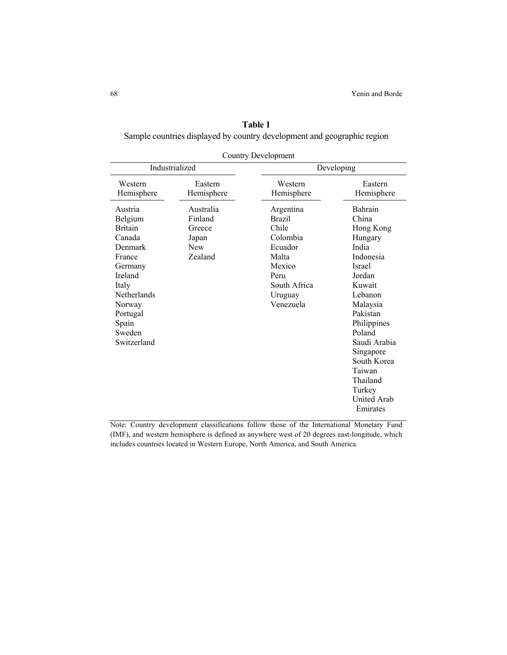| Table 1                                                                 |  |  |  |  |  |  |
|-------------------------------------------------------------------------|--|--|--|--|--|--|
| Sample countries displayed by country development and geographic region |  |  |  |  |  |  |

| <b>Country Development</b>                                                                                                                                                       |                                                                  |                                                                                                                               |                                                                                                                                                                                                                                                                               |  |  |  |  |
|----------------------------------------------------------------------------------------------------------------------------------------------------------------------------------|------------------------------------------------------------------|-------------------------------------------------------------------------------------------------------------------------------|-------------------------------------------------------------------------------------------------------------------------------------------------------------------------------------------------------------------------------------------------------------------------------|--|--|--|--|
| Industrialized                                                                                                                                                                   |                                                                  |                                                                                                                               | Developing                                                                                                                                                                                                                                                                    |  |  |  |  |
| Western<br>Hemisphere                                                                                                                                                            | Eastern<br>Hemisphere                                            | Western<br>Hemisphere                                                                                                         | Eastern<br>Hemisphere                                                                                                                                                                                                                                                         |  |  |  |  |
| Austria<br>Belgium<br><b>Britain</b><br>Canada<br>Denmark<br>France<br>Germany<br>Ireland<br>Italy<br><b>Netherlands</b><br>Norway<br>Portugal<br>Spain<br>Sweden<br>Switzerland | Australia<br>Finland<br>Greece<br>Japan<br><b>New</b><br>Zealand | Argentina<br><b>Brazil</b><br>Chile<br>Colombia<br>Ecuador<br>Malta<br>Mexico<br>Peru<br>South Africa<br>Uruguay<br>Venezuela | Bahrain<br>China<br>Hong Kong<br>Hungary<br>India<br>Indonesia<br><b>Israel</b><br>Jordan<br>Kuwait<br>Lebanon<br>Malaysia<br>Pakistan<br>Philippines<br>Poland<br>Saudi Arabia<br>Singapore<br>South Korea<br>Taiwan<br>Thailand<br>Turkey<br><b>United Arab</b><br>Emirates |  |  |  |  |

Note: Country development classifications follow those of the International Monetary Fund (IMF), and western hemisphere is defined as anywhere west of 20 degrees east-longitude, which includes countries located in Western Europe, North America, and South America.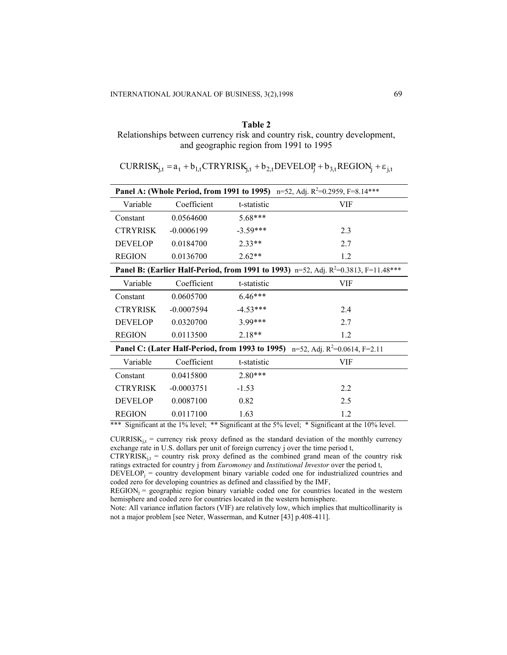#### **Table 2**

Relationships between currency risk and country risk, country development, and geographic region from 1991 to 1995

 $CURRISK_{i,t} = a_t + b_{1,t} CTRYRISK_{i,t} + b_{2,t} DEVELOP_i + b_{3,t} REGION_i + \varepsilon_{i,t}$ 

|                                                                                         |              | <b>Panel A: (Whole Period, from 1991 to 1995)</b> n=52, Adj. $R^2=0.2959$ , F=8.14*** |     |  |  |  |  |
|-----------------------------------------------------------------------------------------|--------------|---------------------------------------------------------------------------------------|-----|--|--|--|--|
| Variable                                                                                | Coefficient  | t-statistic                                                                           | VIF |  |  |  |  |
| Constant                                                                                | 0.0564600    | 5.68***                                                                               |     |  |  |  |  |
| <b>CTRYRISK</b>                                                                         | $-0.0006199$ | $-3.59***$                                                                            | 2.3 |  |  |  |  |
| <b>DEVELOP</b>                                                                          | 0.0184700    | $2.33**$                                                                              | 2.7 |  |  |  |  |
| <b>REGION</b>                                                                           | 0.0136700    | $2.62**$                                                                              | 1.2 |  |  |  |  |
| Panel B: (Earlier Half-Period, from 1991 to 1993) n=52, Adj. $R^2$ =0.3813, F=11.48***  |              |                                                                                       |     |  |  |  |  |
| Variable                                                                                | Coefficient  | t-statistic                                                                           | VIF |  |  |  |  |
| Constant                                                                                | 0.0605700    | $6.46***$                                                                             |     |  |  |  |  |
| <b>CTRYRISK</b>                                                                         | $-0.0007594$ | $-4.53***$                                                                            | 2.4 |  |  |  |  |
| <b>DEVELOP</b>                                                                          | 0.0320700    | 3 99***                                                                               | 2.7 |  |  |  |  |
| <b>REGION</b>                                                                           | 0.0113500    | $2.18**$                                                                              | 1.2 |  |  |  |  |
| <b>Panel C: (Later Half-Period, from 1993 to 1995)</b> n=52, Adj. $R^2=0.0614$ , F=2.11 |              |                                                                                       |     |  |  |  |  |
| Variable                                                                                | Coefficient  | t-statistic                                                                           | VIF |  |  |  |  |
| Constant                                                                                | 0.0415800    | $2.80***$                                                                             |     |  |  |  |  |
| <b>CTRYRISK</b>                                                                         | $-0.0003751$ | $-1.53$                                                                               | 2.2 |  |  |  |  |
| <b>DEVELOP</b>                                                                          | 0.0087100    | 0.82                                                                                  | 2.5 |  |  |  |  |
| <b>REGION</b>                                                                           | 0.0117100    | 1.63                                                                                  | 1.2 |  |  |  |  |

\*\*\* Significant at the 1% level; \*\* Significant at the 5% level; \* Significant at the 10% level.

 $CURRISK<sub>i,t</sub> = currency risk proxy defined as the standard deviation of the monthly currency$ exchange rate in U.S. dollars per unit of foreign currency j over the time period t,

 $CTRYRISK<sub>j,t</sub> = country risk proxy defined as the combined grand mean of the country risk$ ratings extracted for country j from *Euromoney* and *Institutional Investor* over the period t,

 $DEVELOP_i =$  country development binary variable coded one for industrialized countries and coded zero for developing countries as defined and classified by the IMF,

 $REGION_i = geographic region binary variable coded one for countries located in the western$ hemisphere and coded zero for countries located in the western hemisphere.

Note: All variance inflation factors (VIF) are relatively low, which implies that multicollinarity is not a major problem [see Neter, Wasserman, and Kutner [43] p.408-411].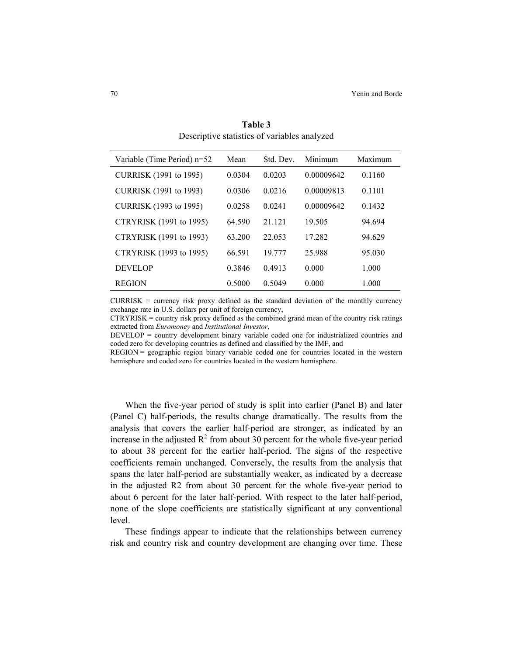| Variable (Time Period) n=52 | Mean   | Std. Dev. | Minimum    | Maximum |
|-----------------------------|--------|-----------|------------|---------|
| CURRISK (1991 to 1995)      | 0.0304 | 0.0203    | 0.00009642 | 0.1160  |
| CURRISK (1991 to 1993)      | 0.0306 | 0 0 2 1 6 | 0.00009813 | 0.1101  |
| CURRISK (1993 to 1995)      | 0.0258 | 0.0241    | 0.00009642 | 0.1432  |
| CTRYRISK (1991 to 1995)     | 64.590 | 21 121    | 19.505     | 94.694  |
| CTRYRISK (1991 to 1993)     | 63.200 | 22 053    | 17 282     | 94.629  |
| CTRYRISK (1993 to 1995)     | 66.591 | 19 777    | 25 988     | 95 030  |
| <b>DEVELOP</b>              | 0.3846 | 0.4913    | 0.000      | 1.000   |
| <b>REGION</b>               | 0.5000 | 0.5049    | 0.000      | 1.000   |

**Table 3**  Descriptive statistics of variables analyzed

 $CURRISK =$  currency risk proxy defined as the standard deviation of the monthly currency exchange rate in U.S. dollars per unit of foreign currency,

CTRYRISK = country risk proxy defined as the combined grand mean of the country risk ratings extracted from *Euromoney* and *Institutional Investor*,

DEVELOP = country development binary variable coded one for industrialized countries and coded zero for developing countries as defined and classified by the IMF, and

REGION = geographic region binary variable coded one for countries located in the western hemisphere and coded zero for countries located in the western hemisphere.

When the five-year period of study is split into earlier (Panel B) and later (Panel C) half-periods, the results change dramatically. The results from the analysis that covers the earlier half-period are stronger, as indicated by an increase in the adjusted  $R^2$  from about 30 percent for the whole five-year period to about 38 percent for the earlier half-period. The signs of the respective coefficients remain unchanged. Conversely, the results from the analysis that spans the later half-period are substantially weaker, as indicated by a decrease in the adjusted R2 from about 30 percent for the whole five-year period to about 6 percent for the later half-period. With respect to the later half-period, none of the slope coefficients are statistically significant at any conventional level.

 These findings appear to indicate that the relationships between currency risk and country risk and country development are changing over time. These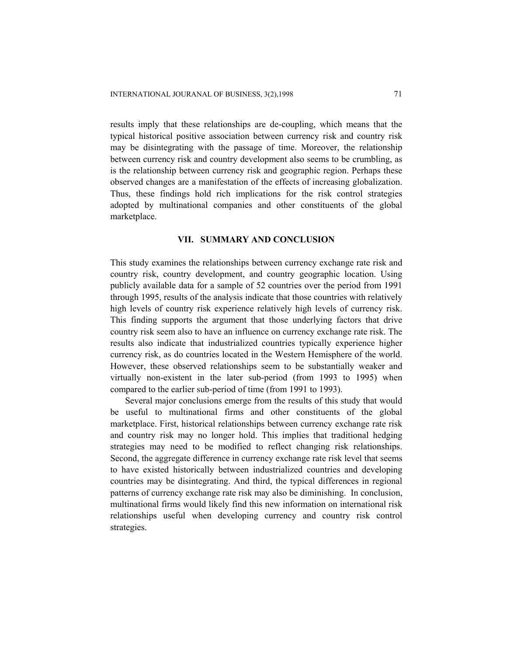results imply that these relationships are de-coupling, which means that the typical historical positive association between currency risk and country risk may be disintegrating with the passage of time. Moreover, the relationship between currency risk and country development also seems to be crumbling, as is the relationship between currency risk and geographic region. Perhaps these observed changes are a manifestation of the effects of increasing globalization. Thus, these findings hold rich implications for the risk control strategies adopted by multinational companies and other constituents of the global marketplace.

#### **VII. SUMMARY AND CONCLUSION**

This study examines the relationships between currency exchange rate risk and country risk, country development, and country geographic location. Using publicly available data for a sample of 52 countries over the period from 1991 through 1995, results of the analysis indicate that those countries with relatively high levels of country risk experience relatively high levels of currency risk. This finding supports the argument that those underlying factors that drive country risk seem also to have an influence on currency exchange rate risk. The results also indicate that industrialized countries typically experience higher currency risk, as do countries located in the Western Hemisphere of the world. However, these observed relationships seem to be substantially weaker and virtually non-existent in the later sub-period (from 1993 to 1995) when compared to the earlier sub-period of time (from 1991 to 1993).

 Several major conclusions emerge from the results of this study that would be useful to multinational firms and other constituents of the global marketplace. First, historical relationships between currency exchange rate risk and country risk may no longer hold. This implies that traditional hedging strategies may need to be modified to reflect changing risk relationships. Second, the aggregate difference in currency exchange rate risk level that seems to have existed historically between industrialized countries and developing countries may be disintegrating. And third, the typical differences in regional patterns of currency exchange rate risk may also be diminishing. In conclusion, multinational firms would likely find this new information on international risk relationships useful when developing currency and country risk control strategies.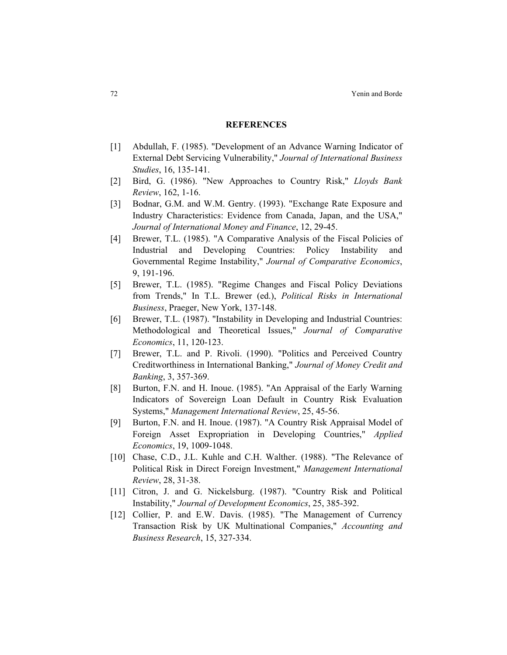#### **REFERENCES**

- [1] Abdullah, F. (1985). "Development of an Advance Warning Indicator of External Debt Servicing Vulnerability," *Journal of International Business Studies*, 16, 135-141.
- [2] Bird, G. (1986). "New Approaches to Country Risk," *Lloyds Bank Review*, 162, 1-16.
- [3] Bodnar, G.M. and W.M. Gentry. (1993). "Exchange Rate Exposure and Industry Characteristics: Evidence from Canada, Japan, and the USA," *Journal of International Money and Finance*, 12, 29-45.
- [4] Brewer, T.L. (1985). "A Comparative Analysis of the Fiscal Policies of Industrial and Developing Countries: Policy Instability and Governmental Regime Instability," *Journal of Comparative Economics*, 9, 191-196.
- [5] Brewer, T.L. (1985). "Regime Changes and Fiscal Policy Deviations from Trends," In T.L. Brewer (ed.), *Political Risks in International Business*, Praeger, New York, 137-148.
- [6] Brewer, T.L. (1987). "Instability in Developing and Industrial Countries: Methodological and Theoretical Issues," *Journal of Comparative Economics*, 11, 120-123.
- [7] Brewer, T.L. and P. Rivoli. (1990). "Politics and Perceived Country Creditworthiness in International Banking," *Journal of Money Credit and Banking*, 3, 357-369.
- [8] Burton, F.N. and H. Inoue. (1985). "An Appraisal of the Early Warning Indicators of Sovereign Loan Default in Country Risk Evaluation Systems," *Management International Review*, 25, 45-56.
- [9] Burton, F.N. and H. Inoue. (1987). "A Country Risk Appraisal Model of Foreign Asset Expropriation in Developing Countries," *Applied Economics*, 19, 1009-1048.
- [10] Chase, C.D., J.L. Kuhle and C.H. Walther. (1988). "The Relevance of Political Risk in Direct Foreign Investment," *Management International Review*, 28, 31-38.
- [11] Citron, J. and G. Nickelsburg. (1987). "Country Risk and Political Instability," *Journal of Development Economics*, 25, 385-392.
- [12] Collier, P. and E.W. Davis. (1985). "The Management of Currency Transaction Risk by UK Multinational Companies," *Accounting and Business Research*, 15, 327-334.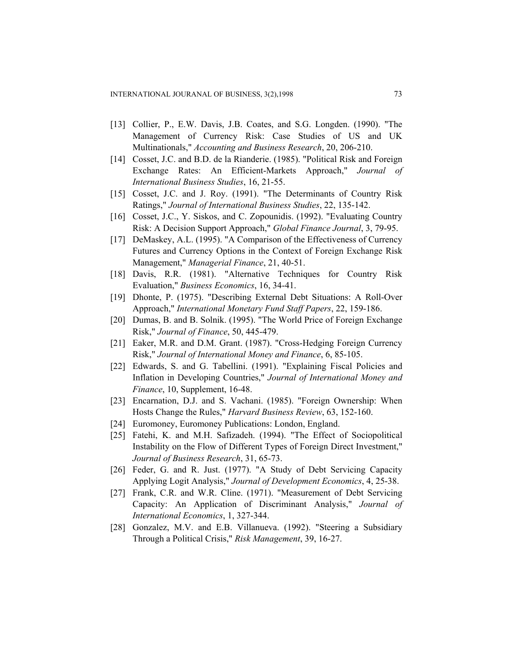- [13] Collier, P., E.W. Davis, J.B. Coates, and S.G. Longden. (1990). "The Management of Currency Risk: Case Studies of US and UK Multinationals," *Accounting and Business Research*, 20, 206-210.
- [14] Cosset, J.C. and B.D. de la Rianderie. (1985). "Political Risk and Foreign Exchange Rates: An Efficient-Markets Approach," *Journal of International Business Studies*, 16, 21-55.
- [15] Cosset, J.C. and J. Roy. (1991). "The Determinants of Country Risk Ratings," *Journal of International Business Studies*, 22, 135-142.
- [16] Cosset, J.C., Y. Siskos, and C. Zopounidis. (1992). "Evaluating Country Risk: A Decision Support Approach," *Global Finance Journal*, 3, 79-95.
- [17] DeMaskey, A.L. (1995). "A Comparison of the Effectiveness of Currency Futures and Currency Options in the Context of Foreign Exchange Risk Management," *Managerial Finance*, 21, 40-51.
- [18] Davis, R.R. (1981). "Alternative Techniques for Country Risk Evaluation," *Business Economics*, 16, 34-41.
- [19] Dhonte, P. (1975). "Describing External Debt Situations: A Roll-Over Approach," *International Monetary Fund Staff Papers*, 22, 159-186.
- [20] Dumas, B. and B. Solnik. (1995). "The World Price of Foreign Exchange Risk," *Journal of Finance*, 50, 445-479.
- [21] Eaker, M.R. and D.M. Grant. (1987). "Cross-Hedging Foreign Currency Risk," *Journal of International Money and Finance*, 6, 85-105.
- [22] Edwards, S. and G. Tabellini. (1991). "Explaining Fiscal Policies and Inflation in Developing Countries," *Journal of International Money and Finance*, 10, Supplement, 16-48.
- [23] Encarnation, D.J. and S. Vachani. (1985). "Foreign Ownership: When Hosts Change the Rules," *Harvard Business Review*, 63, 152-160.
- [24] Euromoney, Euromoney Publications: London, England.
- [25] Fatehi, K. and M.H. Safizadeh. (1994). "The Effect of Sociopolitical Instability on the Flow of Different Types of Foreign Direct Investment," *Journal of Business Research*, 31, 65-73.
- [26] Feder, G. and R. Just. (1977). "A Study of Debt Servicing Capacity Applying Logit Analysis," *Journal of Development Economics*, 4, 25-38.
- [27] Frank, C.R. and W.R. Cline. (1971). "Measurement of Debt Servicing Capacity: An Application of Discriminant Analysis," *Journal of International Economics*, 1, 327-344.
- [28] Gonzalez, M.V. and E.B. Villanueva. (1992). "Steering a Subsidiary Through a Political Crisis," *Risk Management*, 39, 16-27.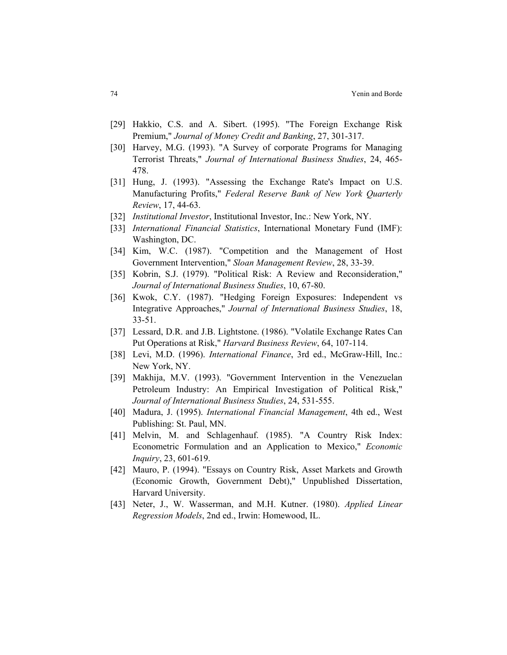- [29] Hakkio, C.S. and A. Sibert. (1995). "The Foreign Exchange Risk Premium," *Journal of Money Credit and Banking*, 27, 301-317.
- [30] Harvey, M.G. (1993). "A Survey of corporate Programs for Managing Terrorist Threats," *Journal of International Business Studies*, 24, 465- 478.
- [31] Hung, J. (1993). "Assessing the Exchange Rate's Impact on U.S. Manufacturing Profits," *Federal Reserve Bank of New York Quarterly Review*, 17, 44-63.
- [32] *Institutional Investor*, Institutional Investor, Inc.: New York, NY.
- [33] *International Financial Statistics*, International Monetary Fund (IMF): Washington, DC.
- [34] Kim, W.C. (1987). "Competition and the Management of Host Government Intervention," *Sloan Management Review*, 28, 33-39.
- [35] Kobrin, S.J. (1979). "Political Risk: A Review and Reconsideration," *Journal of International Business Studies*, 10, 67-80.
- [36] Kwok, C.Y. (1987). "Hedging Foreign Exposures: Independent vs Integrative Approaches," *Journal of International Business Studies*, 18, 33-51.
- [37] Lessard, D.R. and J.B. Lightstone. (1986). "Volatile Exchange Rates Can Put Operations at Risk," *Harvard Business Review*, 64, 107-114.
- [38] Levi, M.D. (1996). *International Finance*, 3rd ed., McGraw-Hill, Inc.: New York, NY.
- [39] Makhija, M.V. (1993). "Government Intervention in the Venezuelan Petroleum Industry: An Empirical Investigation of Political Risk," *Journal of International Business Studies*, 24, 531-555.
- [40] Madura, J. (1995). *International Financial Management*, 4th ed., West Publishing: St. Paul, MN.
- [41] Melvin, M. and Schlagenhauf. (1985). "A Country Risk Index: Econometric Formulation and an Application to Mexico," *Economic Inquiry*, 23, 601-619.
- [42] Mauro, P. (1994). "Essays on Country Risk, Asset Markets and Growth (Economic Growth, Government Debt)," Unpublished Dissertation, Harvard University.
- [43] Neter, J., W. Wasserman, and M.H. Kutner. (1980). *Applied Linear Regression Models*, 2nd ed., Irwin: Homewood, IL.